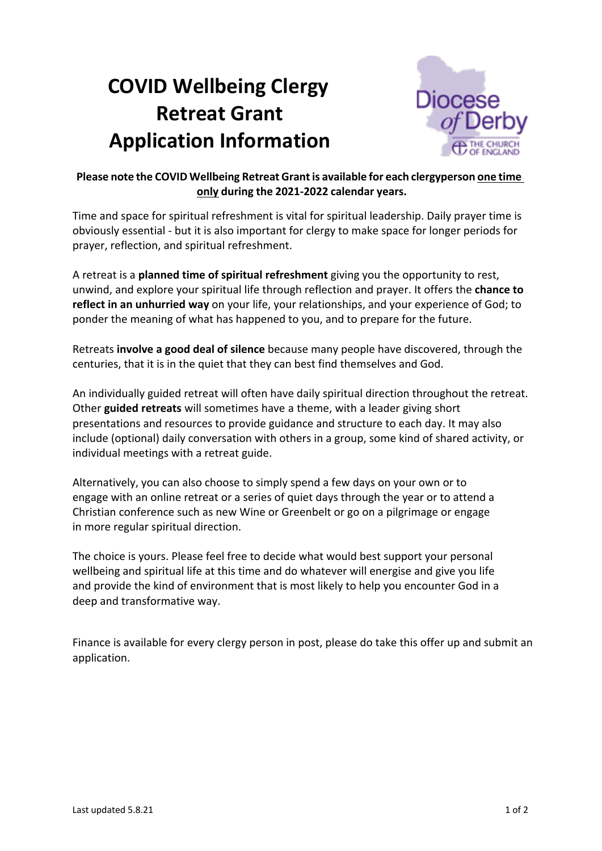# **COVID Wellbeing Clergy Retreat Grant Application Information**



# **Please note the COVID Wellbeing Retreat Grantis available for each clergyperson one time only during the 2021-2022 calendar years.**

Time and space for spiritual refreshment is vital for spiritual leadership. Daily prayer time is obviously essential - but it is also important for clergy to make space for longer periods for prayer, reflection, and spiritual refreshment.

A retreat is a **planned time of spiritual refreshment** giving you the opportunity to rest, unwind, and explore your spiritual life through reflection and prayer. It offers the **chance to reflect in an unhurried way** on your life, your relationships, and your experience of God; to ponder the meaning of what has happened to you, and to prepare for the future.

Retreats **involve a good deal of silence** because many people have discovered, through the centuries, that it is in the quiet that they can best find themselves and God.

An individually guided retreat will often have daily spiritual direction throughout the retreat. Other **guided retreats** will sometimes have a theme, with a leader giving short presentations and resources to provide guidance and structure to each day. It may also include (optional) daily conversation with others in a group, some kind of shared activity, or individual meetings with a retreat guide.

Alternatively, you can also choose to simply spend a few days on your own or to engage with an online retreat or a series of quiet days through the year or to attend a Christian conference such as new Wine or Greenbelt or go on a pilgrimage or engage in more regular spiritual direction.

The choice is yours. Please feel free to decide what would best support your personal wellbeing and spiritual life at this time and do whatever will energise and give you life and provide the kind of environment that is most likely to help you encounter God in a deep and transformative way.

Finance is available for every clergy person in post, please do take this offer up and submit an application.